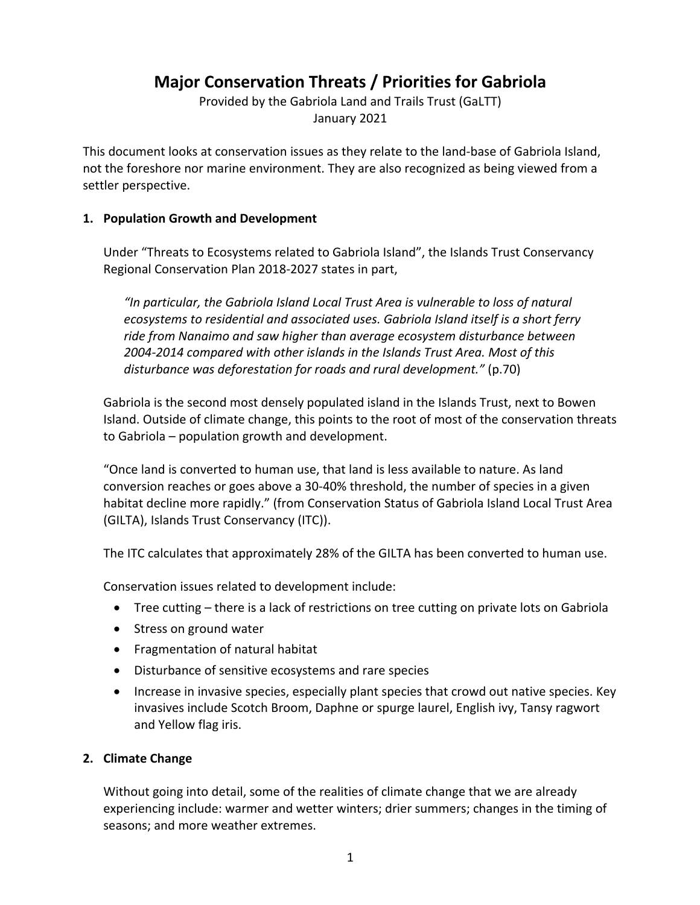# **Major Conservation Threats / Priorities for Gabriola**

Provided by the Gabriola Land and Trails Trust (GaLTT) January 2021

This document looks at conservation issues as they relate to the land-base of Gabriola Island, not the foreshore nor marine environment. They are also recognized as being viewed from a settler perspective.

### **1. Population Growth and Development**

Under "Threats to Ecosystems related to Gabriola Island", the Islands Trust Conservancy Regional Conservation Plan 2018-2027 states in part,

*"In particular, the Gabriola Island Local Trust Area is vulnerable to loss of natural ecosystems to residential and associated uses. Gabriola Island itself is a short ferry ride from Nanaimo and saw higher than average ecosystem disturbance between 2004-2014 compared with other islands in the Islands Trust Area. Most of this disturbance was deforestation for roads and rural development."* (p.70)

Gabriola is the second most densely populated island in the Islands Trust, next to Bowen Island. Outside of climate change, this points to the root of most of the conservation threats to Gabriola – population growth and development.

"Once land is converted to human use, that land is less available to nature. As land conversion reaches or goes above a 30-40% threshold, the number of species in a given habitat decline more rapidly." (from Conservation Status of Gabriola Island Local Trust Area (GILTA), Islands Trust Conservancy (ITC)).

The ITC calculates that approximately 28% of the GILTA has been converted to human use.

Conservation issues related to development include:

- Tree cutting there is a lack of restrictions on tree cutting on private lots on Gabriola
- Stress on ground water
- Fragmentation of natural habitat
- Disturbance of sensitive ecosystems and rare species
- Increase in invasive species, especially plant species that crowd out native species. Key invasives include Scotch Broom, Daphne or spurge laurel, English ivy, Tansy ragwort and Yellow flag iris.

## **2. Climate Change**

Without going into detail, some of the realities of climate change that we are already experiencing include: warmer and wetter winters; drier summers; changes in the timing of seasons; and more weather extremes.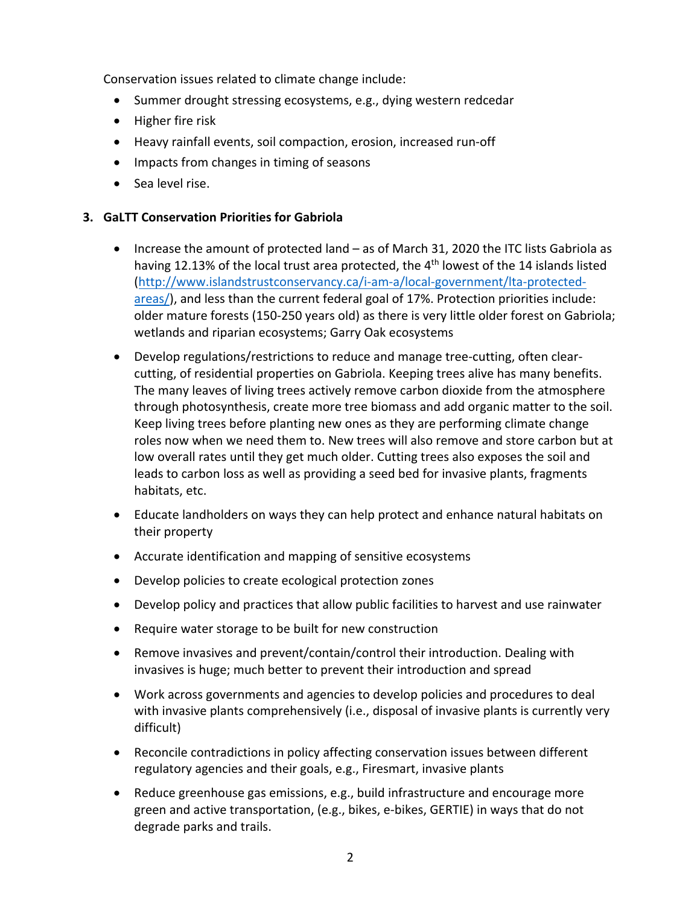Conservation issues related to climate change include:

- Summer drought stressing ecosystems, e.g., dying western redcedar
- Higher fire risk
- Heavy rainfall events, soil compaction, erosion, increased run-off
- Impacts from changes in timing of seasons
- Sea level rise.

# **3. GaLTT Conservation Priorities for Gabriola**

- Increase the amount of protected land as of March 31, 2020 the ITC lists Gabriola as having 12.13% of the local trust area protected, the 4<sup>th</sup> lowest of the 14 islands listed (http://www.islandstrustconservancy.ca/i-am-a/local-government/lta-protectedareas/), and less than the current federal goal of 17%. Protection priorities include: older mature forests (150-250 years old) as there is very little older forest on Gabriola; wetlands and riparian ecosystems; Garry Oak ecosystems
- Develop regulations/restrictions to reduce and manage tree-cutting, often clearcutting, of residential properties on Gabriola. Keeping trees alive has many benefits. The many leaves of living trees actively remove carbon dioxide from the atmosphere through photosynthesis, create more tree biomass and add organic matter to the soil. Keep living trees before planting new ones as they are performing climate change roles now when we need them to. New trees will also remove and store carbon but at low overall rates until they get much older. Cutting trees also exposes the soil and leads to carbon loss as well as providing a seed bed for invasive plants, fragments habitats, etc.
- Educate landholders on ways they can help protect and enhance natural habitats on their property
- Accurate identification and mapping of sensitive ecosystems
- Develop policies to create ecological protection zones
- Develop policy and practices that allow public facilities to harvest and use rainwater
- Require water storage to be built for new construction
- Remove invasives and prevent/contain/control their introduction. Dealing with invasives is huge; much better to prevent their introduction and spread
- Work across governments and agencies to develop policies and procedures to deal with invasive plants comprehensively (i.e., disposal of invasive plants is currently very difficult)
- Reconcile contradictions in policy affecting conservation issues between different regulatory agencies and their goals, e.g., Firesmart, invasive plants
- Reduce greenhouse gas emissions, e.g., build infrastructure and encourage more green and active transportation, (e.g., bikes, e-bikes, GERTIE) in ways that do not degrade parks and trails.